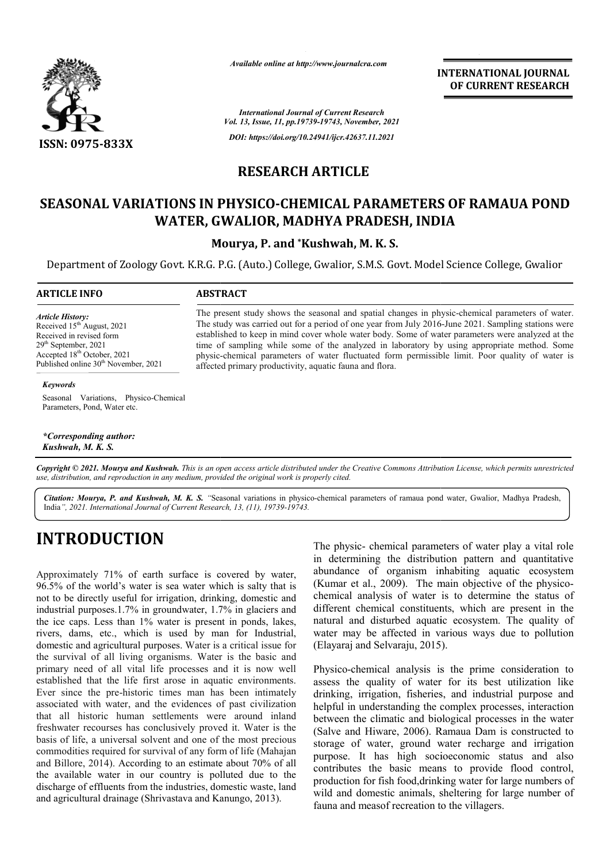

*Available online at http://www.journalcra.com*

**INTERNATIONAL JOURNAL OF CURRENT RESEARCH**

*International Journal of Current Research Vol. 13, Issue, 11, pp.19739-19743, November, 2021 DOI: https://doi.org/10.24941/ijcr.42637.11.2021*

#### **RESEARCH ARTICLE**

### SEASONAL VARIATIONS IN PHYSICO-CHEMICAL PARAMETERS OF RAMAUA POND<br>WATER, GWALIOR, MADHYA PRADESH, INDIA **WATER, GWALIOR, MADHYA PRADESH, INDIA**

**Mourya, P. and \*Kushwah, M. K. S.**

Department of Zoology Govt. K.R.G. P.G. (Auto.) College, Gwalior, S.M.S. Govt. Model Science College, Gwalior

#### **ARTICLE INFO ABSTRACT**

*Article History: Article History:* Received  $15<sup>th</sup>$  August, 2021 Received in revised form Received in revised form Received  $29<sup>th</sup>$  September, 2021 Accepted  $18<sup>th</sup>$  October, 2021 Published online 30<sup>th</sup> November, 2021

The present study shows the seasonal and spatial changes in physic-chemical parameters of water. The study was carried out for a period of one year from July 2016-June 2021. Sampling stations were established to keep in mind cover whole water body. Some of water parameters were analyzed at the time of sampling while some of the analyzed in laboratory by using appropriate method. Some time of sampling while some of the analyzed in laboratory by using appropriate method. Some physic-chemical parameters of water fluctuated form permissible limit. Poor quality of water is affected primary productivity, aquatic fauna and flora flora.

#### *Keywords*

Seasonal Variations, Physico-Chemical Parameters, Pond, Water etc.

*\*Corresponding author: Kushwah, M. K. S.*

Copyright © 2021. Mourya and Kushwah. This is an open access article distributed under the Creative Commons Attribution License, which permits unrestricted *use, distribution, and reproduction in any medium, provided the original work is properly cited.*

Citation: Mourya, P. and Kushwah, M. K. S. "Seasonal variations in physico-chemical parameters of ramaua pond water, Gwalior, Madhya Pradesh, India*", 2021. International Journal of Current Research, 13, (11), 19739-19743.*

# **INTRODUCTION**

Approximately 71% of earth surface is covered by water, 96.5% of the world's water is sea water which is salty that is not to be directly useful for irrigation, drinking, domestic and industrial purposes.1.7% in groundwater, 1.7% in glaciers and the ice caps. Less than 1% water is present in ponds, lakes, rivers, dams, etc., which is used by man for Industrial, domestic and agricultural purposes. Water is a critical issue for the survival of all living organisms. Water is the basic and primary need of all vital life processes and it is now well established that the life first arose in aquatic environments. Ever since the pre-historic times man has been intimately associated with water, and the evidences of past civilization that all historic human settlements were around freshwater recourses has conclusively proved it. Water is the basis of life, a universal solvent and one of the most precious commodities required for survival of any form of life (Mahajan and Billore, 2014). According to an estimate about 70% of all the available water in our country is polluted due to the discharge of effluents from the industries, domestic waste, land and agricultural drainage (Shrivastava and Kanungo, 2013). vital life processes and it is now well<br>life first arose in aquatic environments.<br>historic times man has been intimately<br>er, and the evidences of past civilization<br>uman settlements were around inland

The physic- chemical parameters of water play a vital role in determining the distribution pattern and quantitative abundance of organism inhabiting aquatic ecosystem (Kumar et al., 2009). The main objective of the physico chemical analysis of water is to determine the status of different chemical constituents, which are present in the natural and disturbed aquatic ecosystem. The quality of water may be affected in various ways due to pollution (Elayaraj and Selvaraju, 2015). chemical parameters of water play a vital role ing the distribution pattern and quantitative of organism inhabiting aquatic ecosystem l., 2009). The main objective of the physicochemical constituents, which are present in the and disturbed aquatic ecosystem. The quality of ay be affected in various ways due to pollution j and Selvaraju, 2015).<br>chemical analysis is the prime consideration to

Physico-chemical analysis is the prime consideration to assess the quality of water for its best utilization like drinking, irrigation, fisheries, and industrial purpose and helpful in understanding the complex processes, interaction between the climatic and biological processes in t (Salve and Hiware, 2006). Ramaua Dam is constructed to storage of water, ground water recharge and irrigation purpose. It has high socioeconomic status and also contributes the basic means to provide flood control, production for fish food, drinking water for large numbers of wild and domestic animals, sheltering for large number of fauna and measof recreation to the villagers. assess the quality of water for its best utilization like drinking, irrigation, fisheries, and industrial purpose and helpful in understanding the complex processes, interaction between the climatic and biological processe (Salve and Hiware, 2006). Ramaua Dam is constructed to storage of water, ground water recharge and irrigation purpose. It has high socioeconomic status and also contributes the basic means to provide flood control, product **FORTERNATIONAL COURNAL CONSERVIT THEST (SEE THE AND A CONSERVERT RESERACEM SUSPENDENT IN A SUSPENDENT RESERANCE THE SUSPENDENT IN A SUSPENDENT IN A SUSPENDENT (SEE THE AND SUSPENDENT AND A PRADUSH, INDIJA and A properties**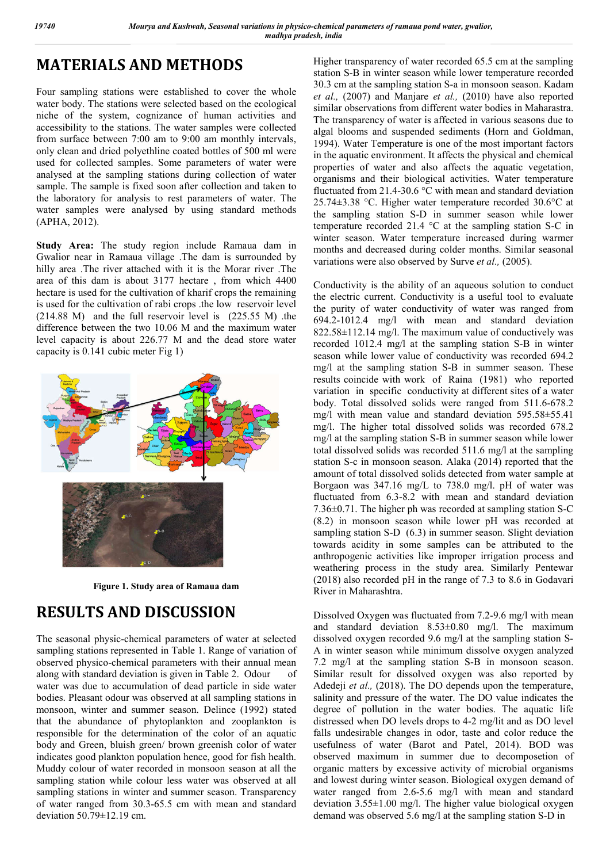## **MATERIALS AND METHODS**

Four sampling stations were established to cover the whole water body. The stations were selected based on the ecological niche of the system, cognizance of human activities and accessibility to the stations. The water samples were collected from surface between 7:00 am to 9:00 am monthly intervals, only clean and dried polyethline coated bottles of 500 ml were used for collected samples. Some parameters of water were analysed at the sampling stations during collection of water sample. The sample is fixed soon after collection and taken to the laboratory for analysis to rest parameters of water. The water samples were analysed by using standard methods (APHA, 2012).

**Study Area:** The study region include Ramaua dam in Gwalior near in Ramaua village .The dam is surrounded by hilly area .The river attached with it is the Morar river .The area of this dam is about 3177 hectare , from which 4400 hectare is used for the cultivation of kharif crops the remaining is used for the cultivation of rabi crops .the low reservoir level (214.88 M) and the full reservoir level is (225.55 M) .the difference between the two 10.06 M and the maximum water level capacity is about 226.77 M and the dead store water capacity is 0.141 cubic meter Fig 1)



**Figure 1. Study area of Ramaua dam**

# **RESULTS AND DISCUSSION**

The seasonal physic-chemical parameters of water at selected sampling stations represented in Table 1. Range of variation of observed physico-chemical parameters with their annual mean along with standard deviation is given in Table 2. Odour of water was due to accumulation of dead particle in side water bodies. Pleasant odour was observed at all sampling stations in monsoon, winter and summer season. Delince (1992) stated that the abundance of phytoplankton and zooplankton is responsible for the determination of the color of an aquatic body and Green, bluish green/ brown greenish color of water indicates good plankton population hence, good for fish health. Muddy colour of water recorded in monsoon season at all the sampling station while colour less water was observed at all sampling stations in winter and summer season. Transparency of water ranged from 30.3-65.5 cm with mean and standard deviation  $50.79 \pm 12.19$  cm.

Higher transparency of water recorded 65.5 cm at the sampling station S-B in winter season while lower temperature recorded 30.3 cm at the sampling station S-a in monsoon season. Kadam *et al.,* (2007) and Manjare *et al.,* (2010) have also reported similar observations from different water bodies in Maharastra. The transparency of water is affected in various seasons due to algal blooms and suspended sediments (Horn and Goldman, 1994). Water Temperature is one of the most important factors in the aquatic environment. It affects the physical and chemical properties of water and also affects the aquatic vegetation, organisms and their biological activities. Water temperature fluctuated from 21.4-30.6 °C with mean and standard deviation 25.74±3.38 °C. Higher water temperature recorded 30.6°C at the sampling station S-D in summer season while lower temperature recorded 21.4 °C at the sampling station S-C in winter season. Water temperature increased during warmer months and decreased during colder months. Similar seasonal variations were also observed by Surve *et al.,* (2005).

Conductivity is the ability of an aqueous solution to conduct the electric current. Conductivity is a useful tool to evaluate the purity of water conductivity of water was ranged from 694.2-1012.4 mg/l with mean and standard deviation 822.58±112.14 mg/l. The maximum value of conductively was recorded 1012.4 mg/l at the sampling station S-B in winter season while lower value of conductivity was recorded 694.2 mg/l at the sampling station S-B in summer season. These results coincide with work of Raina (1981) who reported variation in specific conductivity at different sites of a water body. Total dissolved solids were ranged from 511.6-678.2 mg/l with mean value and standard deviation 595.58±55.41 mg/l. The higher total dissolved solids was recorded 678.2 mg/l at the sampling station S-B in summer season while lower total dissolved solids was recorded 511.6 mg/l at the sampling station S-c in monsoon season. Alaka (2014) reported that the amount of total dissolved solids detected from water sample at Borgaon was 347.16 mg/L to 738.0 mg/l. pH of water was fluctuated from 6.3-8.2 with mean and standard deviation 7.36±0.71. The higher ph was recorded at sampling station S-C (8.2) in monsoon season while lower pH was recorded at sampling station S-D (6.3) in summer season. Slight deviation towards acidity in some samples can be attributed to the anthropogenic activities like improper irrigation process and weathering process in the study area. Similarly Pentewar (2018) also recorded pH in the range of 7.3 to 8.6 in Godavari River in Maharashtra.

Dissolved Oxygen was fluctuated from 7.2-9.6 mg/l with mean and standard deviation 8.53±0.80 mg/l. The maximum dissolved oxygen recorded 9.6 mg/l at the sampling station S-A in winter season while minimum dissolve oxygen analyzed 7.2 mg/l at the sampling station S-B in monsoon season. Similar result for dissolved oxygen was also reported by Adedeji *et al.,* (2018). The DO depends upon the temperature, salinity and pressure of the water. The DO value indicates the degree of pollution in the water bodies. The aquatic life distressed when DO levels drops to 4-2 mg/lit and as DO level falls undesirable changes in odor, taste and color reduce the usefulness of water (Barot and Patel, 2014). BOD was observed maximum in summer due to decomposetion of organic matters by excessive activity of microbial organisms and lowest during winter season. Biological oxygen demand of water ranged from 2.6-5.6 mg/l with mean and standard deviation 3.55±1.00 mg/l. The higher value biological oxygen demand was observed 5.6 mg/l at the sampling station S-D in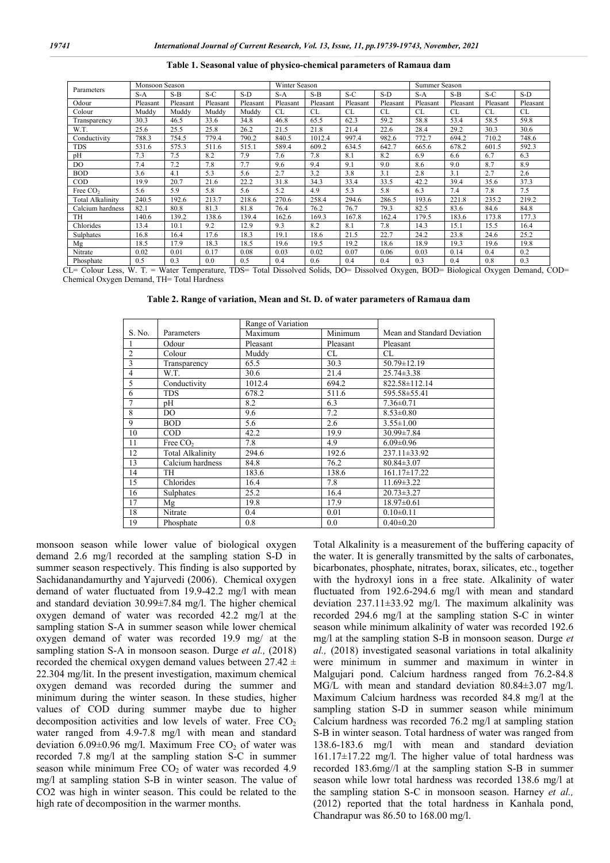| Parameters                                               | Monsoon Season        |                                                                                   |          |                                                                 | Winter Season |           |                    |               | Summer Season         |                    |          |                         |
|----------------------------------------------------------|-----------------------|-----------------------------------------------------------------------------------|----------|-----------------------------------------------------------------|---------------|-----------|--------------------|---------------|-----------------------|--------------------|----------|-------------------------|
|                                                          | $S-A$                 | $S-B$                                                                             | $S-C$    | $S-D$                                                           | $S-A$         | $S-B$     | $S-C$              | $S-D$         | $S-A$                 | $S-B$              | $S-C$    | $S-D$                   |
| Odour                                                    | Pleasant              | Pleasant                                                                          | Pleasant | Pleasant                                                        | Pleasant      | Pleasant  | Pleasant           | Pleasant      | Pleasant              | Pleasant           | Pleasant | Pleasant                |
| Colour                                                   | Muddy                 | Muddy                                                                             | Muddy    | Muddy                                                           | CL            | <b>CL</b> | <b>CL</b>          | CL            | CL                    | CL                 | CL       | CL.                     |
| Transparency                                             | 30.3                  | 46.5                                                                              | 33.6     | 34.8                                                            | 46.8          | 65.5      | 62.3               | 59.2          | 58.8                  | 53.4               | 58.5     | 59.8                    |
| W.T.                                                     | 25.6                  | 25.5                                                                              | 25.8     | 26.2                                                            | 21.5          | 21.8      | 21.4               | 22.6          | 28.4                  | 29.2               | 30.3     | 30.6                    |
| Conductivity                                             | 788.3                 | 754.5                                                                             | 779.4    | 790.2                                                           | 840.5         | 1012.4    | 997.4              | 982.6         | 772.7                 | 694.2              | 710.2    | 748.6                   |
| <b>TDS</b>                                               | 531.6                 | 575.3                                                                             | 511.6    | 515.1                                                           | 589.4         | 609.2     | 634.5              | 642.7         | 665.6                 | 678.2              | 601.5    | 592.3                   |
| pH                                                       | 7.3                   | 7.5                                                                               | 8.2      | 7.9                                                             | 7.6           | 7.8       | 8.1                | 8.2           | 6.9                   | 6.6                | 6.7      | 6.3                     |
| DO.                                                      | 7.4                   | 7.2                                                                               | 7.8      | 7.7                                                             | 9.6           | 9.4       | 9.1                | 9.0           | 8.6                   | 9.0                | 8.7      | 8.9                     |
| <b>BOD</b>                                               | 3.6                   | 4.1                                                                               | 5.3      | 5.6                                                             | 2.7           | 3.2       | 3.8                | 3.1           | 2.8                   | 3.1                | 2.7      | 2.6                     |
| COD                                                      | 19.9                  | 20.7                                                                              | 21.6     | 22.2                                                            | 31.8          | 34.3      | 33.4               | 33.5          | 42.2                  | 39.4               | 35.6     | 37.3                    |
| Free CO <sub>2</sub>                                     | 5.6                   | 5.9                                                                               | 5.8      | 5.6                                                             | 5.2           | 4.9       | 5.3                | 5.8           | 6.3                   | 7.4                | 7.8      | 7.5                     |
| Total Alkalinitv                                         | 240.5                 | 192.6                                                                             | 213.7    | 218.6                                                           | 270.6         | 258.4     | 294.6              | 286.5         | 193.6                 | 221.8              | 235.2    | 219.2                   |
| Calcium hardness                                         | 82.1                  | 80.8                                                                              | 81.3     | 81.8                                                            | 76.4          | 76.2      | 76.7               | 79.3          | 82.5                  | 83.6               | 84.6     | 84.8                    |
| TH                                                       | 140.6                 | 139.2                                                                             | 138.6    | 139.4                                                           | 162.6         | 169.3     | 167.8              | 162.4         | 179.5                 | 183.6              | 173.8    | 177.3                   |
| Chlorides                                                | 13.4                  | 10.1                                                                              | 9.2      | 12.9                                                            | 9.3           | 8.2       | 8.1                | 7.8           | 14.3                  | 15.1               | 15.5     | 16.4                    |
| Sulphates                                                | 16.8                  | 16.4                                                                              | 17.6     | 18.3                                                            | 19.1          | 18.6      | 21.5               | 22.7          | 24.2                  | 23.8               | 24.6     | 25.2                    |
| Mg                                                       | 18.5                  | 17.9                                                                              | 18.3     | 18.5                                                            | 19.6          | 19.5      | 19.2               | 18.6          | 18.9                  | 19.3               | 19.6     | 19.8                    |
| Nitrate                                                  | 0.02                  | 0.01                                                                              | 0.17     | 0.08                                                            | 0.03          | 0.02      | 0.07               | 0.06          | 0.03                  | 0.14               | 0.4      | 0.2                     |
| Phosphate<br>$\mathbf{v}$<br>$\sim$ $\sim$ $\sim$ $\sim$ | 0.5<br><b>TYY</b> FOR | 0.3<br>$\sim$<br>$\mathbf{v}$ $\mathbf{v}$ $\mathbf{v}$ $\mathbf{v}$ $\mathbf{v}$ | 0.0      | 0.5<br>$\mathbf{m} \cdot \mathbf{a}$ is the set of $\mathbf{a}$ | 0.4           | 0.6       | 0.4<br>10111202111 | 0.4<br>$\sim$ | 0.3<br>$P_{\rm{max}}$ | 0.4<br>$m+1$ $m+2$ | 0.8      | 0.3<br>$\sim$<br>$\sim$ |

**Table 1. Seasonal value of physico-chemical parameters of Ramaua dam**

CL= Colour Less, W. T. = Water Temperature, TDS= Total Dissolved Solids, DO= Dissolved Oxygen, BOD= Biological Oxygen Demand, COD= Chemical Oxygen Demand, TH= Total Hardness

**Table 2. Range of variation, Mean and St. D. of water parameters of Ramaua dam**

|                |                      | Range of Variation |          |                             |
|----------------|----------------------|--------------------|----------|-----------------------------|
| S. No.         | Parameters           | Maximum            | Minimum  | Mean and Standard Deviation |
|                | Odour                | Pleasant           | Pleasant | Pleasant                    |
| $\overline{c}$ | Colour               | Muddy              | CL       | CL                          |
| 3              | Transparency         | 65.5               | 30.3     | 50.79±12.19                 |
| $\overline{4}$ | W.T.                 | 30.6               | 21.4     | $25.74 \pm 3.38$            |
| 5              | Conductivity         | 1012.4             | 694.2    | 822.58±112.14               |
| 6              | <b>TDS</b>           | 678.2              | 511.6    | 595.58±55.41                |
| 7              | pН                   | 8.2                | 6.3      | $7.36 \pm 0.71$             |
| 8              | DO                   | 9.6                | 7.2      | $8.53 \pm 0.80$             |
| 9              | <b>BOD</b>           | 5.6                | 2.6      | $3.55 \pm 1.00$             |
| 10             | $\rm{COD}$           | 42.2               | 19.9     | 30.99±7.84                  |
| 11             | Free CO <sub>2</sub> | 7.8                | 4.9      | $6.09 \pm 0.96$             |
| 12             | Total Alkalinity     | 294.6              | 192.6    | 237.11±33.92                |
| 13             | Calcium hardness     | 84.8               | 76.2     | $80.84 \pm 3.07$            |
| 14             | TH                   | 183.6              | 138.6    | $161.17 \pm 17.22$          |
| 15             | Chlorides            | 16.4               | 7.8      | $11.69 \pm 3.22$            |
| 16             | Sulphates            | 25.2               | 16.4     | $20.73 \pm 3.27$            |
| 17             | Mg                   | 19.8               | 17.9     | $18.97 \pm 0.61$            |
| 18             | Nitrate              | 0.4                | 0.01     | $0.10 \pm 0.11$             |
| 19             | Phosphate            | 0.8                | 0.0      | $0.40 \pm 0.20$             |

monsoon season while lower value of biological oxygen demand 2.6 mg/l recorded at the sampling station S-D in summer season respectively. This finding is also supported by Sachidanandamurthy and Yajurvedi (2006). Chemical oxygen demand of water fluctuated from 19.9-42.2 mg/l with mean and standard deviation 30.99±7.84 mg/l. The higher chemical oxygen demand of water was recorded 42.2 mg/l at the sampling station S-A in summer season while lower chemical oxygen demand of water was recorded 19.9 mg/ at the sampling station S-A in monsoon season. Durge *et al.,* (2018) recorded the chemical oxygen demand values between  $27.42 \pm$ 22.304 mg/lit. In the present investigation, maximum chemical oxygen demand was recorded during the summer and minimum during the winter season. In these studies, higher values of COD during summer maybe due to higher decomposition activities and low levels of water. Free  $CO<sub>2</sub>$ water ranged from 4.9-7.8 mg/l with mean and standard deviation 6.09 $\pm$ 0.96 mg/l. Maximum Free CO<sub>2</sub> of water was recorded 7.8 mg/l at the sampling station S-C in summer season while minimum Free  $CO<sub>2</sub>$  of water was recorded 4.9 mg/l at sampling station S-B in winter season. The value of CO2 was high in winter season. This could be related to the high rate of decomposition in the warmer months.

Total Alkalinity is a measurement of the buffering capacity of the water. It is generally transmitted by the salts of carbonates, bicarbonates, phosphate, nitrates, borax, silicates, etc., together with the hydroxyl ions in a free state. Alkalinity of water fluctuated from 192.6-294.6 mg/l with mean and standard deviation 237.11±33.92 mg/l. The maximum alkalinity was recorded 294.6 mg/l at the sampling station S-C in winter season while minimum alkalinity of water was recorded 192.6 mg/l at the sampling station S-B in monsoon season. Durge *et al.,* (2018) investigated seasonal variations in total alkalinity were minimum in summer and maximum in winter in Malgujari pond. Calcium hardness ranged from 76.2-84.8 MG/L with mean and standard deviation 80.84±3.07 mg/l. Maximum Calcium hardness was recorded 84.8 mg/l at the sampling station S-D in summer season while minimum Calcium hardness was recorded 76.2 mg/l at sampling station S-B in winter season. Total hardness of water was ranged from 138.6-183.6 mg/l with mean and standard deviation 161.17±17.22 mg/l. The higher value of total hardness was recorded 183.6mg//l at the sampling station S-B in summer season while lowr total hardness was recorded 138.6 mg/l at the sampling station S-C in monsoon season. Harney *et al.,* (2012) reported that the total hardness in Kanhala pond, Chandrapur was 86.50 to 168.00 mg/l.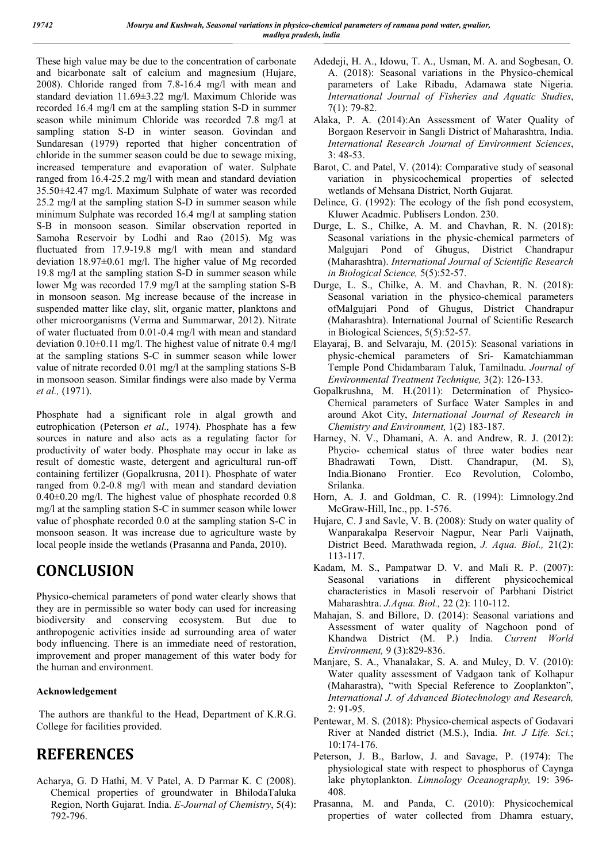These high value may be due to the concentration of carbonate and bicarbonate salt of calcium and magnesium (Hujare, 2008). Chloride ranged from 7.8-16.4 mg/l with mean and standard deviation 11.69±3.22 mg/l. Maximum Chloride was recorded 16.4 mg/l cm at the sampling station S-D in summer season while minimum Chloride was recorded 7.8 mg/l at sampling station S-D in winter season. Govindan and Sundaresan (1979) reported that higher concentration of chloride in the summer season could be due to sewage mixing, increased temperature and evaporation of water. Sulphate ranged from 16.4-25.2 mg/l with mean and standard deviation 35.50±42.47 mg/l. Maximum Sulphate of water was recorded 25.2 mg/l at the sampling station S-D in summer season while minimum Sulphate was recorded 16.4 mg/l at sampling station S-B in monsoon season. Similar observation reported in Samoha Reservoir by Lodhi and Rao (2015). Mg was fluctuated from 17.9-19.8 mg/l with mean and standard deviation 18.97±0.61 mg/l. The higher value of Mg recorded 19.8 mg/l at the sampling station S-D in summer season while lower Mg was recorded 17.9 mg/l at the sampling station S-B in monsoon season. Mg increase because of the increase in suspended matter like clay, slit, organic matter, planktons and other microorganisms (Verma and Summarwar, 2012). Nitrate of water fluctuated from 0.01-0.4 mg/l with mean and standard deviation 0.10±0.11 mg/l. The highest value of nitrate 0.4 mg/l at the sampling stations S-C in summer season while lower value of nitrate recorded 0.01 mg/l at the sampling stations S-B in monsoon season. Similar findings were also made by Verma *et al.,* (1971).

Phosphate had a significant role in algal growth and eutrophication (Peterson *et al.,* 1974). Phosphate has a few sources in nature and also acts as a regulating factor for productivity of water body. Phosphate may occur in lake as result of domestic waste, detergent and agricultural run-off containing fertilizer (Gopalkrusna, 2011). Phosphate of water ranged from 0.2-0.8 mg/l with mean and standard deviation 0.40±0.20 mg/l. The highest value of phosphate recorded 0.8 mg/l at the sampling station S-C in summer season while lower value of phosphate recorded 0.0 at the sampling station S-C in monsoon season. It was increase due to agriculture waste by local people inside the wetlands (Prasanna and Panda, 2010).

# **CONCLUSION**

Physico-chemical parameters of pond water clearly shows that they are in permissible so water body can used for increasing biodiversity and conserving ecosystem. But due to anthropogenic activities inside ad surrounding area of water body influencing. There is an immediate need of restoration, improvement and proper management of this water body for the human and environment.

#### **Acknowledgement**

The authors are thankful to the Head, Department of K.R.G. College for facilities provided.

## **REFERENCES**

Acharya, G. D Hathi, M. V Patel, A. D Parmar K. C (2008). Chemical properties of groundwater in BhilodaTaluka Region, North Gujarat. India. *E-Journal of Chemistry*, 5(4): 792-796.

- Adedeji, H. A., Idowu, T. A., Usman, M. A. and Sogbesan, O. A. (2018): Seasonal variations in the Physico-chemical parameters of Lake Ribadu, Adamawa state Nigeria. *International Journal of Fisheries and Aquatic Studies*, 7(1): 79-82.
- Alaka, P. A. (2014):An Assessment of Water Quality of Borgaon Reservoir in Sangli District of Maharashtra, India. *International Research Journal of Environment Sciences*, 3: 48-53.
- Barot, C. and Patel, V. (2014): Comparative study of seasonal variation in physicochemical properties of selected wetlands of Mehsana District, North Gujarat.
- Delince, G. (1992): The ecology of the fish pond ecosystem, Kluwer Acadmic. Publisers London. 230.
- Durge, L. S., Chilke, A. M. and Chavhan, R. N. (2018): Seasonal variations in the physic-chemical parmeters of Malgujari Pond of Ghugus, District Chandrapur (Maharashtra). *International Journal of Scientific Research in Biological Science,* 5(5):52-57.
- Durge, L. S., Chilke, A. M. and Chavhan, R. N. (2018): Seasonal variation in the physico-chemical parameters ofMalgujari Pond of Ghugus, District Chandrapur (Maharashtra). International Journal of Scientific Research in Biological Sciences, 5(5):52-57.
- Elayaraj, B. and Selvaraju, M. (2015): Seasonal variations in physic-chemical parameters of Sri- Kamatchiamman Temple Pond Chidambaram Taluk, Tamilnadu. *Journal of Environmental Treatment Technique,* 3(2): 126-133.
- Gopalkrushna, M. H.(2011): Determination of Physico-Chemical parameters of Surface Water Samples in and around Akot City, *International Journal of Research in Chemistry and Environment,* 1(2) 183-187.
- Harney, N. V., Dhamani, A. A. and Andrew, R. J. (2012): Phycio- cchemical status of three water bodies near Bhadrawati Town, Distt. Chandrapur, (M. S), India.Bionano Frontier. Eco Revolution, Colombo, Srilanka.
- Horn, A. J. and Goldman, C. R. (1994): Limnology.2nd McGraw-Hill, Inc., pp. 1-576.
- Hujare, C. J and Savle, V. B. (2008): Study on water quality of Wanparakalpa Reservoir Nagpur, Near Parli Vaijnath, District Beed. Marathwada region, *J. Aqua. Biol.,* 21(2): 113-117.
- Kadam, M. S., Pampatwar D. V. and Mali R. P. (2007): Seasonal variations in different physicochemical characteristics in Masoli reservoir of Parbhani District Maharashtra. *J.Aqua. Biol.,* 22 (2): 110-112.
- Mahajan, S. and Billore, D. (2014): Seasonal variations and Assessment of water quality of Nagchoon pond of Khandwa District (M. P.) India. *Current World Environment,* 9 (3):829-836.
- Manjare, S. A., Vhanalakar, S. A. and Muley, D. V. (2010): Water quality assessment of Vadgaon tank of Kolhapur (Maharastra), "with Special Reference to Zooplankton", *International J. of Advanced Biotechnology and Research,* 2: 91-95.
- Pentewar, M. S. (2018): Physico-chemical aspects of Godavari River at Nanded district (M.S.), India. *Int. J Life. Sci.*; 10:174-176.
- Peterson, J. B., Barlow, J. and Savage, P. (1974): The physiological state with respect to phosphorus of Caynga lake phytoplankton. *Limnology Oceanography,* 19: 396- 408.
- Prasanna, M. and Panda, C. (2010): Physicochemical properties of water collected from Dhamra estuary,